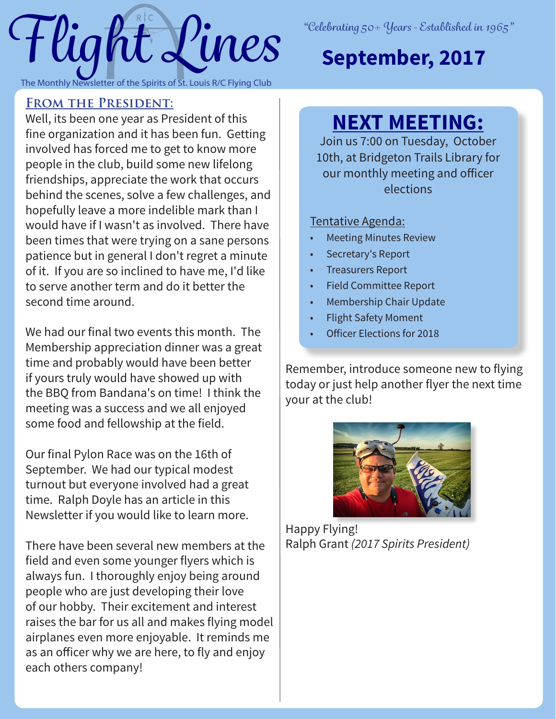

# **September, 2017**

### **From the President:**

Well, its been one year as President of this fine organization and it has been fun. Getting involved has forced me to get to know more people in the club, build some new lifelong friendships, appreciate the work that occurs behind the scenes, solve a few challenges, and hopefully leave a more indelible mark than I would have if I wasn't as involved. There have been times that were trying on a sane persons patience but in general I don't regret a minute of it. If you are so inclined to have me, I'd like to serve another term and do it better the second time around.

We had our final two events this month. The Membership appreciation dinner was a great time and probably would have been better if yours truly would have showed up with the BBQ from Bandana's on time! I think the meeting was a success and we all enjoyed some food and fellowship at the field.

Our final Pylon Race was on the 16th of September. We had our typical modest turnout but everyone involved had a great time. Ralph Doyle has an article in this Newsletter if you would like to learn more.

There have been several new members at the field and even some younger flyers which is always fun. I thoroughly enjoy being around people who are just developing their love of our hobby. Their excitement and interest raises the bar for us all and makes flying model airplanes even more enjoyable. It reminds me as an officer why we are here, to fly and enjoy each others company!

# **NEXT MEETING:**

Join us 7:00 on Tuesday, October 10th, at Bridgeton Trails Library for our monthly meeting and officer elections

#### Tentative Agenda:

- **Meeting Minutes Review**
- Secretary's Report
- Treasurers Report
- Field Committee Report
- Membership Chair Update
- Flight Safety Moment
- Officer Elections for 2018

Remember, introduce someone new to flying today or just help another flyer the next time your at the club!



Happy Flying! Ralph Grant *(2017 Spirits President)*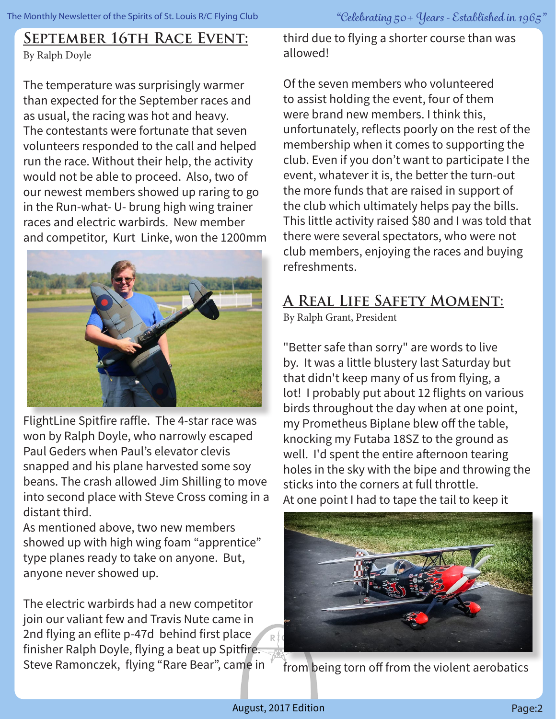#### **September 16th Race Event:** By Ralph Doyle

The temperature was surprisingly warmer than expected for the September races and as usual, the racing was hot and heavy. The contestants were fortunate that seven volunteers responded to the call and helped run the race. Without their help, the activity would not be able to proceed. Also, two of our newest members showed up raring to go in the Run-what- U- brung high wing trainer races and electric warbirds. New member and competitor, Kurt Linke, won the 1200mm



FlightLine Spitfire raffle. The 4-star race was won by Ralph Doyle, who narrowly escaped Paul Geders when Paul's elevator clevis snapped and his plane harvested some soy beans. The crash allowed Jim Shilling to move into second place with Steve Cross coming in a distant third.

As mentioned above, two new members showed up with high wing foam "apprentice" type planes ready to take on anyone. But, anyone never showed up.

The electric warbirds had a new competitor join our valiant few and Travis Nute came in 2nd flying an eflite p-47d behind first place finisher Ralph Doyle, flying a beat up Spitfire. Steve Ramonczek, flying "Rare Bear", came in third due to flying a shorter course than was allowed!

Of the seven members who volunteered to assist holding the event, four of them were brand new members. I think this, unfortunately, reflects poorly on the rest of the membership when it comes to supporting the club. Even if you don't want to participate I the event, whatever it is, the better the turn-out the more funds that are raised in support of the club which ultimately helps pay the bills. This little activity raised \$80 and I was told that there were several spectators, who were not club members, enjoying the races and buying refreshments.

## **A Real Life Safety Moment:**

By Ralph Grant, President

"Better safe than sorry" are words to live by. It was a little blustery last Saturday but that didn't keep many of us from flying, a lot! I probably put about 12 flights on various birds throughout the day when at one point, my Prometheus Biplane blew off the table, knocking my Futaba 18SZ to the ground as well. I'd spent the entire afternoon tearing holes in the sky with the bipe and throwing the sticks into the corners at full throttle. At one point I had to tape the tail to keep it



from being torn off from the violent aerobatics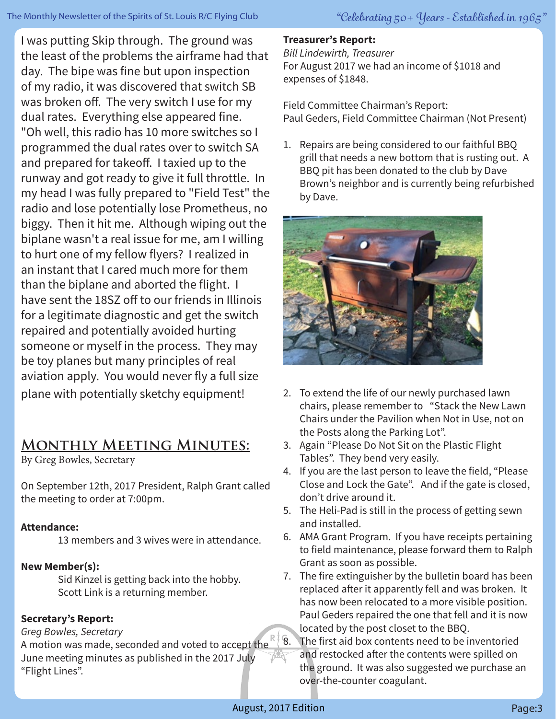I was putting Skip through. The ground was the least of the problems the airframe had that day. The bipe was fine but upon inspection of my radio, it was discovered that switch SB was broken off. The very switch I use for my dual rates. Everything else appeared fine. "Oh well, this radio has 10 more switches so I programmed the dual rates over to switch SA and prepared for takeoff. I taxied up to the runway and got ready to give it full throttle. In my head I was fully prepared to "Field Test" the radio and lose potentially lose Prometheus, no biggy. Then it hit me. Although wiping out the biplane wasn't a real issue for me, am I willing to hurt one of my fellow flyers? I realized in an instant that I cared much more for them than the biplane and aborted the flight. I have sent the 18SZ off to our friends in Illinois for a legitimate diagnostic and get the switch repaired and potentially avoided hurting someone or myself in the process. They may be toy planes but many principles of real aviation apply. You would never fly a full size plane with potentially sketchy equipment!

# **Monthly Meeting Minutes:**

By Greg Bowles, Secretary

On September 12th, 2017 President, Ralph Grant called the meeting to order at 7:00pm.

#### **Attendance:**

13 members and 3 wives were in attendance.

#### **New Member(s):**

 Sid Kinzel is getting back into the hobby. Scott Link is a returning member.

#### **Secretary's Report:**

#### *Greg Bowles, Secretary*

 $\alpha$  begins to the seconded and voted to accept the  $\frac{R}{3}$   $\frac{8.1}{8}$ . June meeting minutes as published in the 2017 July "Flight Lines".

#### **Treasurer's Report:**

*Bill Lindewirth, Treasurer*

For August 2017 we had an income of \$1018 and expenses of \$1848.

Field Committee Chairman's Report: Paul Geders, Field Committee Chairman (Not Present)

1. Repairs are being considered to our faithful BBQ grill that needs a new bottom that is rusting out. A BBQ pit has been donated to the club by Dave Brown's neighbor and is currently being refurbished by Dave.



- 2. To extend the life of our newly purchased lawn chairs, please remember to "Stack the New Lawn Chairs under the Pavilion when Not in Use, not on the Posts along the Parking Lot".
- 3. Again "Please Do Not Sit on the Plastic Flight Tables". They bend very easily.
- 4. If you are the last person to leave the field, "Please Close and Lock the Gate". And if the gate is closed, don't drive around it.
- 5. The Heli-Pad is still in the process of getting sewn and installed.
- 6. AMA Grant Program. If you have receipts pertaining to field maintenance, please forward them to Ralph Grant as soon as possible.
- 7. The fire extinguisher by the bulletin board has been replaced after it apparently fell and was broken. It has now been relocated to a more visible position. Paul Geders repaired the one that fell and it is now located by the post closet to the BBQ.
	- The first aid box contents need to be inventoried and restocked after the contents were spilled on the ground. It was also suggested we purchase an over-the-counter coagulant.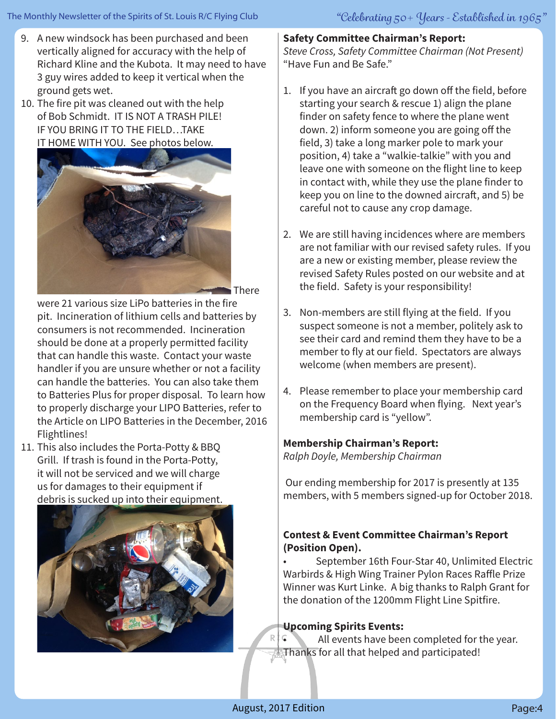- 9. A new windsock has been purchased and been vertically aligned for accuracy with the help of Richard Kline and the Kubota. It may need to have 3 guy wires added to keep it vertical when the ground gets wet.
- 10. The fire pit was cleaned out with the help of Bob Schmidt. IT IS NOT A TRASH PILE! IF YOU BRING IT TO THE FIELD…TAKE IT HOME WITH YOU. See photos below.



were 21 various size LiPo batteries in the fire pit. Incineration of lithium cells and batteries by consumers is not recommended. Incineration should be done at a properly permitted facility that can handle this waste. Contact your waste handler if you are unsure whether or not a facility can handle the batteries. You can also take them to Batteries Plus for proper disposal. To learn how to properly discharge your LIPO Batteries, refer to the Article on LIPO Batteries in the December, 2016 Flightlines!

11. This also includes the Porta-Potty & BBQ Grill. If trash is found in the Porta-Potty, it will not be serviced and we will charge us for damages to their equipment if debris is sucked up into their equipment.



## **Safety Committee Chairman's Report:**

*Steve Cross, Safety Committee Chairman (Not Present)*  "Have Fun and Be Safe."

- 1. If you have an aircraft go down off the field, before starting your search & rescue 1) align the plane finder on safety fence to where the plane went down. 2) inform someone you are going off the field, 3) take a long marker pole to mark your position, 4) take a "walkie-talkie" with you and leave one with someone on the flight line to keep in contact with, while they use the plane finder to keep you on line to the downed aircraft, and 5) be careful not to cause any crop damage.
- 2. We are still having incidences where are members are not familiar with our revised safety rules. If you are a new or existing member, please review the revised Safety Rules posted on our website and at the field. Safety is your responsibility!
- 3. Non-members are still flying at the field. If you suspect someone is not a member, politely ask to see their card and remind them they have to be a member to fly at our field. Spectators are always welcome (when members are present).
- 4. Please remember to place your membership card on the Frequency Board when flying. Next year's membership card is "yellow".

#### **Membership Chairman's Report:**

*Ralph Doyle, Membership Chairman* 

 Our ending membership for 2017 is presently at 135 members, with 5 members signed-up for October 2018.

#### **Contest & Event Committee Chairman's Report (Position Open).**

• September 16th Four-Star 40, Unlimited Electric Warbirds & High Wing Trainer Pylon Races Raffle Prize Winner was Kurt Linke. A big thanks to Ralph Grant for the donation of the 1200mm Flight Line Spitfire.

#### **Upcoming Spirits Events:**

All events have been completed for the year. Thanks for all that helped and participated!

R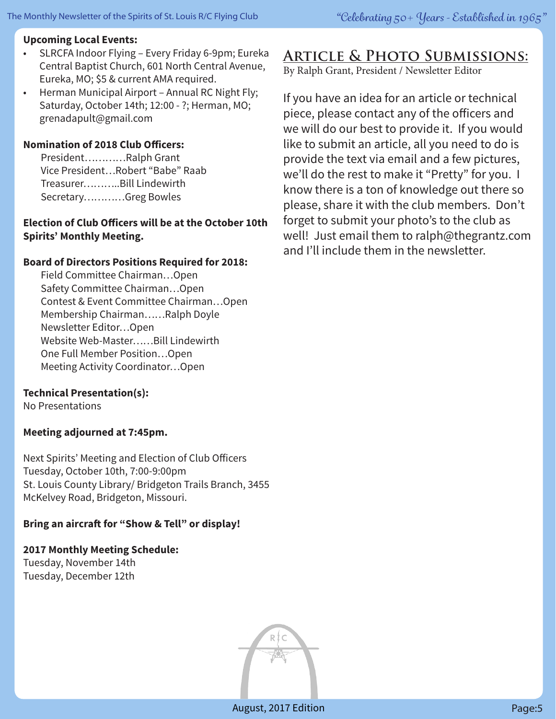#### **Upcoming Local Events:**

- SLRCFA Indoor Flying Every Friday 6-9pm; Eureka Central Baptist Church, 601 North Central Avenue, Eureka, MO; \$5 & current AMA required.
- Herman Municipal Airport Annual RC Night Fly; Saturday, October 14th; 12:00 - ?; Herman, MO; grenadapult@gmail.com

#### **Nomination of 2018 Club Officers:**

 President…………Ralph Grant Vice President…Robert "Babe" Raab Treasurer………..Bill Lindewirth Secretary…………Greg Bowles

#### **Election of Club Officers will be at the October 10th Spirits' Monthly Meeting.**

#### **Board of Directors Positions Required for 2018:**

 Field Committee Chairman…Open Safety Committee Chairman…Open Contest & Event Committee Chairman…Open Membership Chairman……Ralph Doyle Newsletter Editor…Open Website Web-Master……Bill Lindewirth One Full Member Position…Open Meeting Activity Coordinator…Open

#### **Technical Presentation(s):**

No Presentations

#### **Meeting adjourned at 7:45pm.**

Next Spirits' Meeting and Election of Club Officers Tuesday, October 10th, 7:00-9:00pm St. Louis County Library/ Bridgeton Trails Branch, 3455 McKelvey Road, Bridgeton, Missouri.

#### **Bring an aircraft for "Show & Tell" or display!**

**2017 Monthly Meeting Schedule:** Tuesday, November 14th Tuesday, December 12th



By Ralph Grant, President / Newsletter Editor

If you have an idea for an article or technical piece, please contact any of the officers and we will do our best to provide it. If you would like to submit an article, all you need to do is provide the text via email and a few pictures, we'll do the rest to make it "Pretty" for you. I know there is a ton of knowledge out there so please, share it with the club members. Don't forget to submit your photo's to the club as well! Just email them to ralph@thegrantz.com and I'll include them in the newsletter.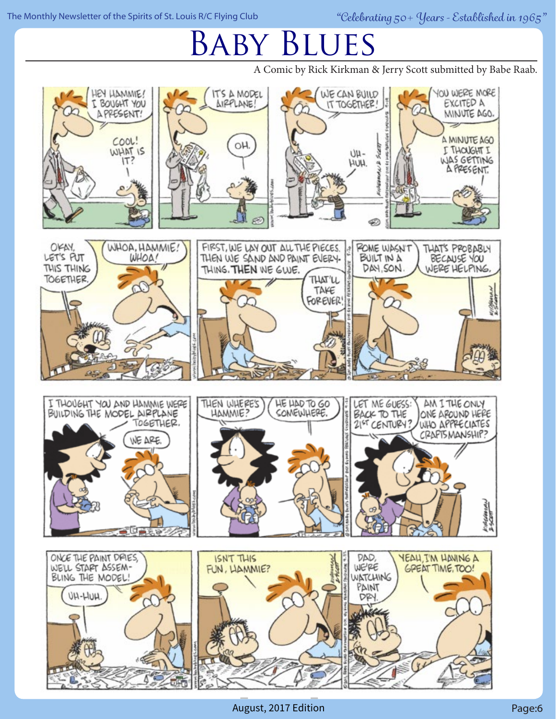#### The Monthly Newsletter of the Spirits of St. Louis R/C Flying Club *"Celebrating 50+ Years - Established in 1965"*

# Baby Blues

A Comic by Rick Kirkman & Jerry Scott submitted by Babe Raab.